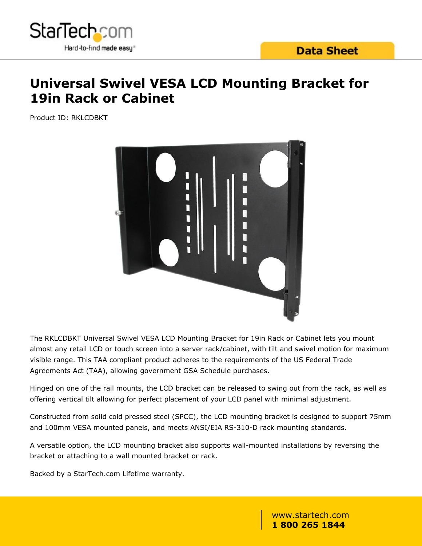

## **Universal Swivel VESA LCD Mounting Bracket for 19in Rack or Cabinet**

Product ID: RKLCDBKT



The RKLCDBKT Universal Swivel VESA LCD Mounting Bracket for 19in Rack or Cabinet lets you mount almost any retail LCD or touch screen into a server rack/cabinet, with tilt and swivel motion for maximum visible range. This TAA compliant product adheres to the requirements of the US Federal Trade Agreements Act (TAA), allowing government GSA Schedule purchases.

Hinged on one of the rail mounts, the LCD bracket can be released to swing out from the rack, as well as offering vertical tilt allowing for perfect placement of your LCD panel with minimal adjustment.

Constructed from solid cold pressed steel (SPCC), the LCD mounting bracket is designed to support 75mm and 100mm VESA mounted panels, and meets ANSI/EIA RS-310-D rack mounting standards.

A versatile option, the LCD mounting bracket also supports wall-mounted installations by reversing the bracket or attaching to a wall mounted bracket or rack.

Backed by a StarTech.com Lifetime warranty.

www.startech.com **1 800 265 1844**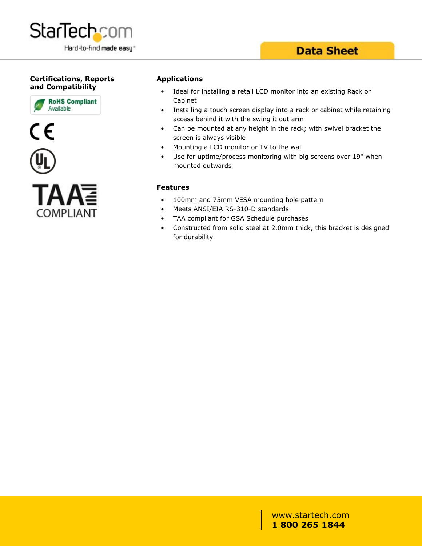

### **Data Sheet**

#### **Certifications, Reports and Compatibility**





#### **Applications**

- Ideal for installing a retail LCD monitor into an existing Rack or Cabinet
- Installing a touch screen display into a rack or cabinet while retaining access behind it with the swing it out arm
- Can be mounted at any height in the rack; with swivel bracket the screen is always visible
- Mounting a LCD monitor or TV to the wall
- Use for uptime/process monitoring with big screens over 19" when mounted outwards

#### **Features**

- 100mm and 75mm VESA mounting hole pattern
- Meets ANSI/EIA RS-310-D standards
- TAA compliant for GSA Schedule purchases
- Constructed from solid steel at 2.0mm thick, this bracket is designed for durability